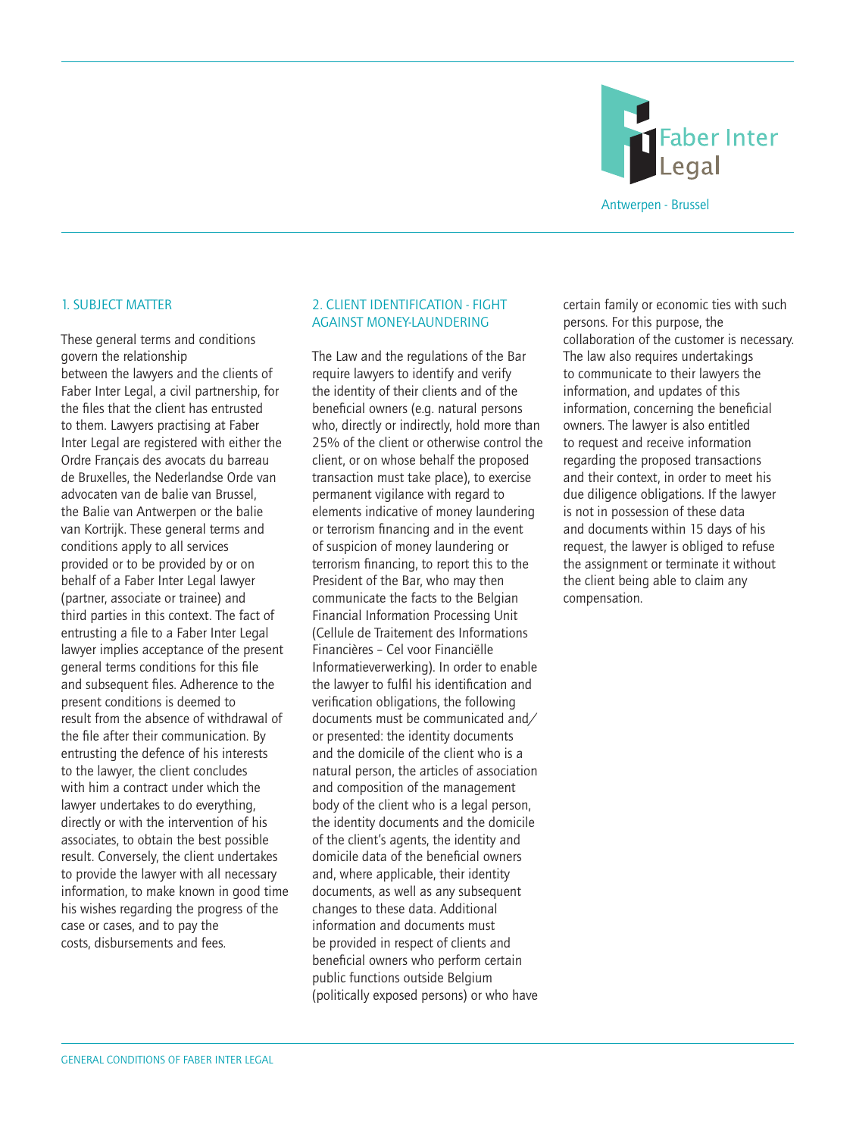

#### 1. SUBJECT MATTER

These general terms and conditions govern the relationship between the lawyers and the clients of Faber Inter Legal, a civil partnership, for the files that the client has entrusted to them. Lawyers practising at Faber Inter Legal are registered with either the Ordre Français des avocats du barreau de Bruxelles, the Nederlandse Orde van advocaten van de balie van Brussel, the Balie van Antwerpen or the balie van Kortrijk. These general terms and conditions apply to all services provided or to be provided by or on behalf of a Faber Inter Legal lawyer (partner, associate or trainee) and third parties in this context. The fact of entrusting a file to a Faber Inter Legal lawyer implies acceptance of the present general terms conditions for this file and subsequent files. Adherence to the present conditions is deemed to result from the absence of withdrawal of the file after their communication. By entrusting the defence of his interests to the lawyer, the client concludes with him a contract under which the lawyer undertakes to do everything, directly or with the intervention of his associates, to obtain the best possible result. Conversely, the client undertakes to provide the lawyer with all necessary information, to make known in good time his wishes regarding the progress of the case or cases, and to pay the costs, disbursements and fees.

#### 2. CLIENT IDENTIFICATION - FIGHT AGAINST MONEY-LAUNDERING

The Law and the regulations of the Bar require lawyers to identify and verify the identity of their clients and of the beneficial owners (e.g. natural persons who, directly or indirectly, hold more than 25% of the client or otherwise control the client, or on whose behalf the proposed transaction must take place), to exercise permanent vigilance with regard to elements indicative of money laundering or terrorism financing and in the event of suspicion of money laundering or terrorism financing, to report this to the President of the Bar, who may then communicate the facts to the Belgian Financial Information Processing Unit (Cellule de Traitement des Informations Financières – Cel voor Financiëlle Informatieverwerking). In order to enable the lawyer to fulfil his identification and verification obligations, the following documents must be communicated and/ or presented: the identity documents and the domicile of the client who is a natural person, the articles of association and composition of the management body of the client who is a legal person, the identity documents and the domicile of the client's agents, the identity and domicile data of the beneficial owners and, where applicable, their identity documents, as well as any subsequent changes to these data. Additional information and documents must be provided in respect of clients and beneficial owners who perform certain public functions outside Belgium (politically exposed persons) or who have

certain family or economic ties with such persons. For this purpose, the collaboration of the customer is necessary. The law also requires undertakings to communicate to their lawyers the information, and updates of this information, concerning the beneficial owners. The lawyer is also entitled to request and receive information regarding the proposed transactions and their context, in order to meet his due diligence obligations. If the lawyer is not in possession of these data and documents within 15 days of his request, the lawyer is obliged to refuse the assignment or terminate it without the client being able to claim any compensation.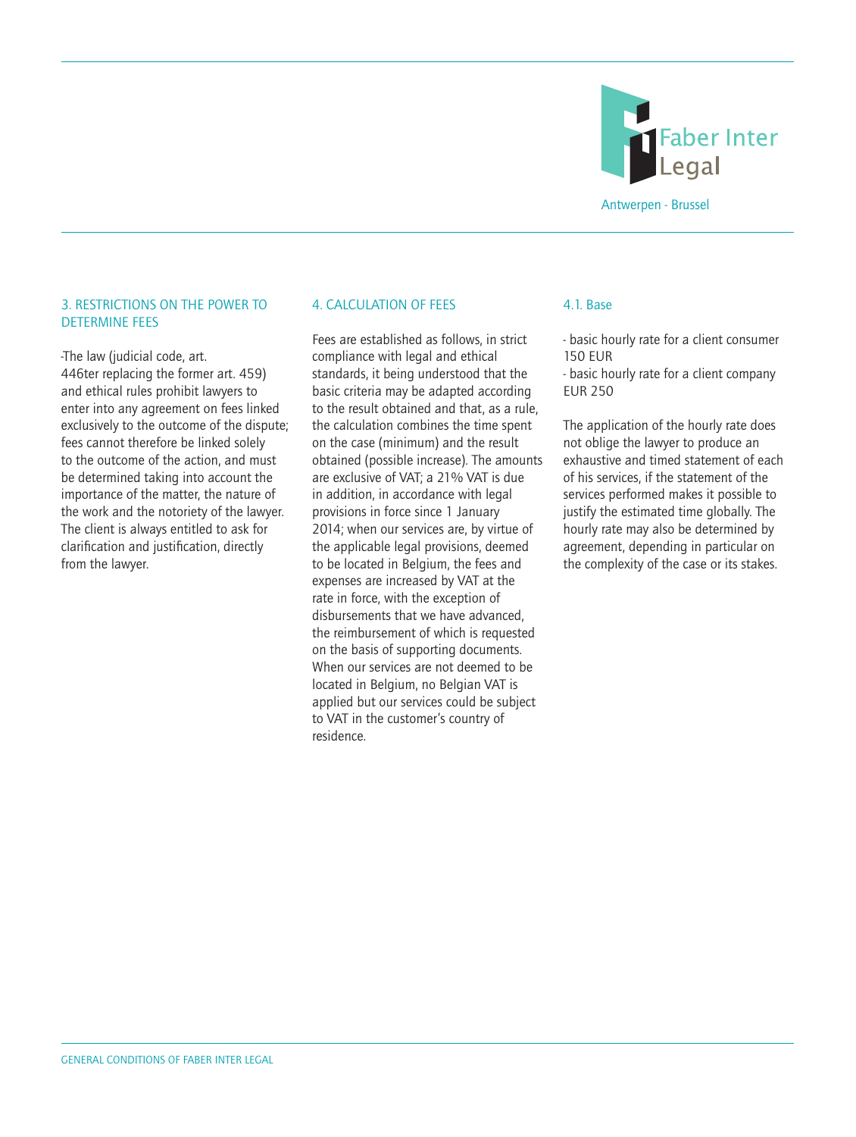

# 3. RESTRICTIONS ON THE POWER TO DETERMINE FEES

-The law (judicial code, art. 446ter replacing the former art. 459) and ethical rules prohibit lawyers to enter into any agreement on fees linked exclusively to the outcome of the dispute; fees cannot therefore be linked solely to the outcome of the action, and must be determined taking into account the importance of the matter, the nature of the work and the notoriety of the lawyer. The client is always entitled to ask for clarification and justification, directly from the lawyer.

# 4. CALCULATION OF FEES

Fees are established as follows, in strict compliance with legal and ethical standards, it being understood that the basic criteria may be adapted according to the result obtained and that, as a rule, the calculation combines the time spent on the case (minimum) and the result obtained (possible increase). The amounts are exclusive of VAT; a 21% VAT is due in addition, in accordance with legal provisions in force since 1 January 2014; when our services are, by virtue of the applicable legal provisions, deemed to be located in Belgium, the fees and expenses are increased by VAT at the rate in force, with the exception of disbursements that we have advanced, the reimbursement of which is requested on the basis of supporting documents. When our services are not deemed to be located in Belgium, no Belgian VAT is applied but our services could be subject to VAT in the customer's country of residence.

#### 4.1. Base

- basic hourly rate for a client consumer 150 EUR

- basic hourly rate for a client company EUR 250

The application of the hourly rate does not oblige the lawyer to produce an exhaustive and timed statement of each of his services, if the statement of the services performed makes it possible to justify the estimated time globally. The hourly rate may also be determined by agreement, depending in particular on the complexity of the case or its stakes.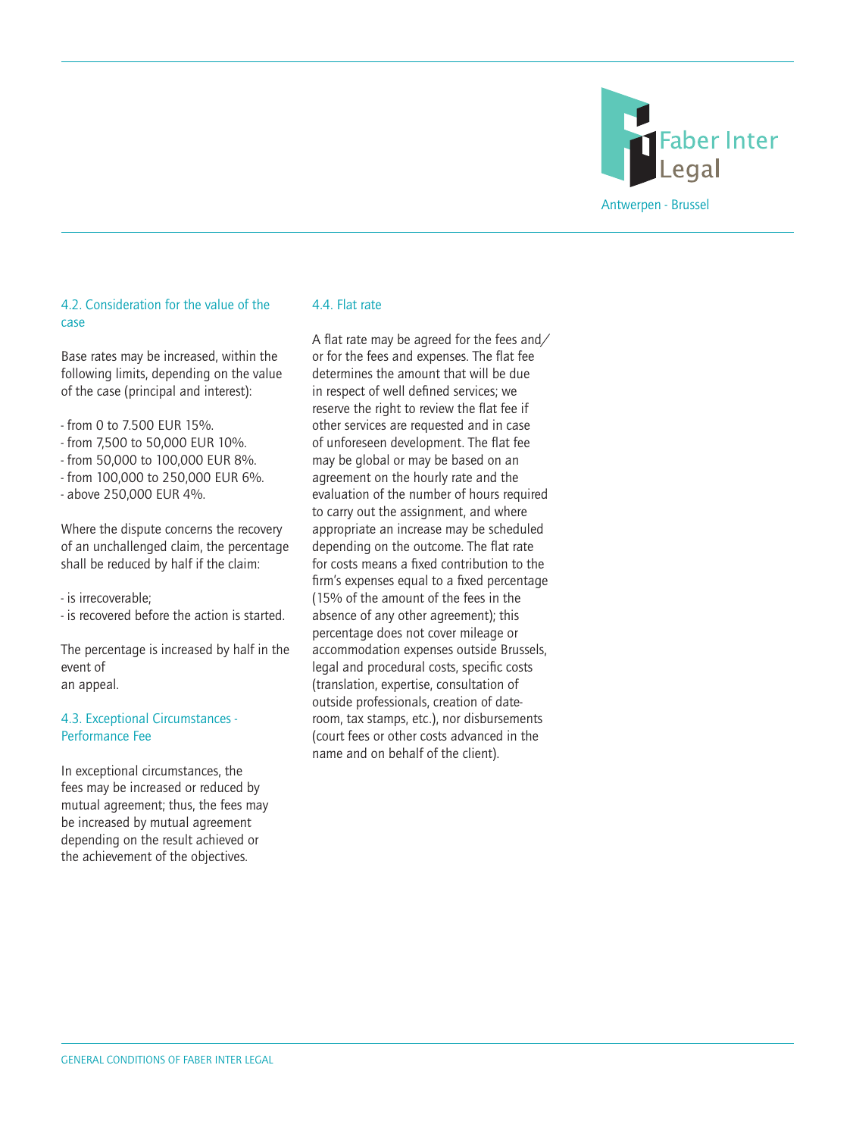

# 4.2. Consideration for the value of the case

Base rates may be increased, within the following limits, depending on the value of the case (principal and interest):

- from 0 to 7.500 EUR 15%.
- from 7,500 to 50,000 EUR 10%.
- from 50,000 to 100,000 EUR 8%.
- from 100,000 to 250,000 EUR 6%.
- above 250,000 EUR 4%.

Where the dispute concerns the recovery of an unchallenged claim, the percentage shall be reduced by half if the claim:

- is irrecoverable;

- is recovered before the action is started.

The percentage is increased by half in the event of an appeal.

# 4.3. Exceptional Circumstances - Performance Fee

In exceptional circumstances, the fees may be increased or reduced by mutual agreement; thus, the fees may be increased by mutual agreement depending on the result achieved or the achievement of the objectives.

#### 4.4. Flat rate

A flat rate may be agreed for the fees and/ or for the fees and expenses. The flat fee determines the amount that will be due in respect of well defined services; we reserve the right to review the flat fee if other services are requested and in case of unforeseen development. The flat fee may be global or may be based on an agreement on the hourly rate and the evaluation of the number of hours required to carry out the assignment, and where appropriate an increase may be scheduled depending on the outcome. The flat rate for costs means a fixed contribution to the firm's expenses equal to a fixed percentage (15% of the amount of the fees in the absence of any other agreement); this percentage does not cover mileage or accommodation expenses outside Brussels, legal and procedural costs, specific costs (translation, expertise, consultation of outside professionals, creation of dateroom, tax stamps, etc.), nor disbursements (court fees or other costs advanced in the name and on behalf of the client).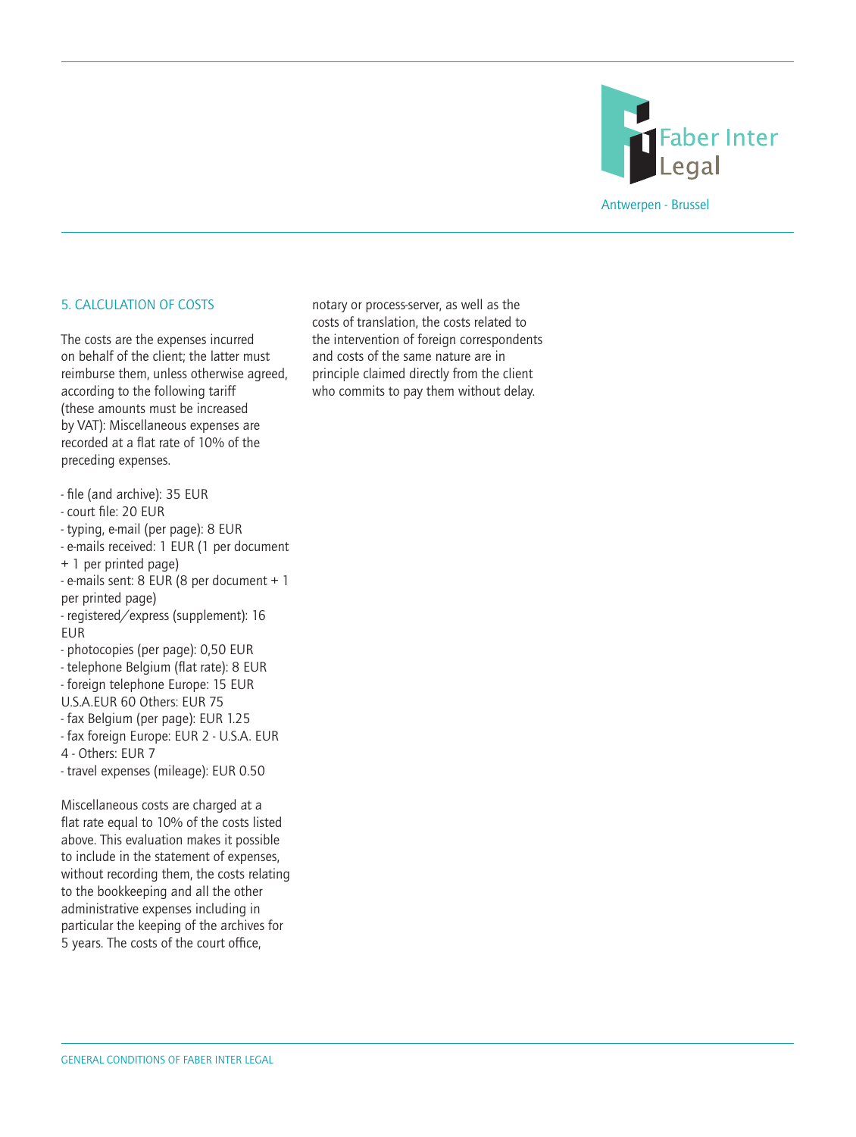

# 5. CALCULATION OF COSTS

The costs are the expenses incurred on behalf of the client; the latter must reimburse them, unless otherwise agreed, according to the following tariff (these amounts must be increased by VAT): Miscellaneous expenses are recorded at a flat rate of 10% of the preceding expenses.

- file (and archive): 35 EUR
- court file: 20 EUR
- typing, e-mail (per page): 8 EUR
- e-mails received: 1 EUR (1 per document
- + 1 per printed page)
- e-mails sent: 8 EUR (8 per document + 1 per printed page)

- registered/express (supplement): 16 EUR

- photocopies (per page): 0,50 EUR
- telephone Belgium (flat rate): 8 EUR
- foreign telephone Europe: 15 EUR
- U.S.A.EUR 60 Others: EUR 75
- fax Belgium (per page): EUR 1.25
- fax foreign Europe: EUR 2 U.S.A. EUR
- 4 Others: EUR 7
- travel expenses (mileage): EUR 0.50

Miscellaneous costs are charged at a flat rate equal to 10% of the costs listed above. This evaluation makes it possible to include in the statement of expenses, without recording them, the costs relating to the bookkeeping and all the other administrative expenses including in particular the keeping of the archives for 5 years. The costs of the court office,

notary or process-server, as well as the costs of translation, the costs related to the intervention of foreign correspondents and costs of the same nature are in principle claimed directly from the client who commits to pay them without delay.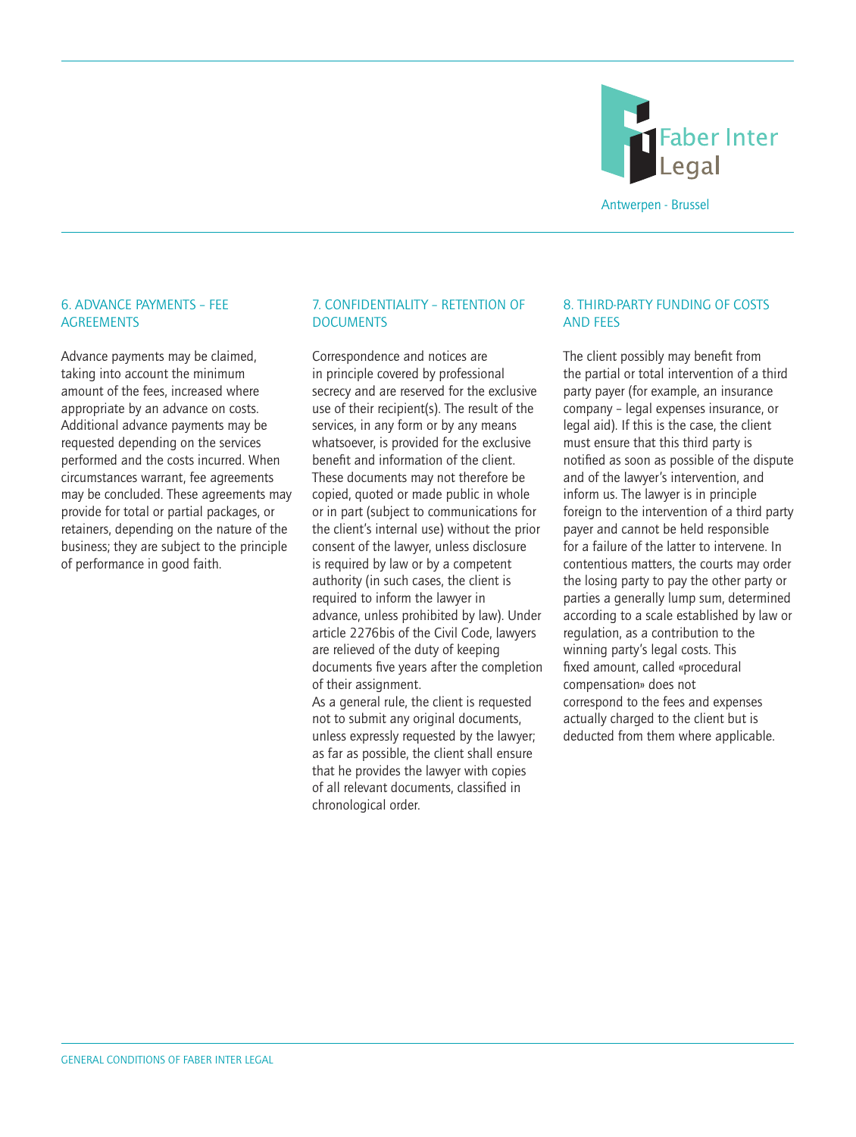

# 6. ADVANCE PAYMENTS – FEE **AGREEMENTS**

Advance payments may be claimed, taking into account the minimum amount of the fees, increased where appropriate by an advance on costs. Additional advance payments may be requested depending on the services performed and the costs incurred. When circumstances warrant, fee agreements may be concluded. These agreements may provide for total or partial packages, or retainers, depending on the nature of the business; they are subject to the principle of performance in good faith.

# 7. CONFIDENTIALITY – RETENTION OF **DOCUMENTS**

Correspondence and notices are in principle covered by professional secrecy and are reserved for the exclusive use of their recipient(s). The result of the services, in any form or by any means whatsoever, is provided for the exclusive benefit and information of the client. These documents may not therefore be copied, quoted or made public in whole or in part (subject to communications for the client's internal use) without the prior consent of the lawyer, unless disclosure is required by law or by a competent authority (in such cases, the client is required to inform the lawyer in advance, unless prohibited by law). Under article 2276bis of the Civil Code, lawyers are relieved of the duty of keeping documents five years after the completion of their assignment.

As a general rule, the client is requested not to submit any original documents, unless expressly requested by the lawyer; as far as possible, the client shall ensure that he provides the lawyer with copies of all relevant documents, classified in chronological order.

# 8. THIRD-PARTY FUNDING OF COSTS AND FEES

The client possibly may benefit from the partial or total intervention of a third party payer (for example, an insurance company – legal expenses insurance, or legal aid). If this is the case, the client must ensure that this third party is notified as soon as possible of the dispute and of the lawyer's intervention, and inform us. The lawyer is in principle foreign to the intervention of a third party payer and cannot be held responsible for a failure of the latter to intervene. In contentious matters, the courts may order the losing party to pay the other party or parties a generally lump sum, determined according to a scale established by law or regulation, as a contribution to the winning party's legal costs. This fixed amount, called «procedural compensation» does not correspond to the fees and expenses actually charged to the client but is deducted from them where applicable.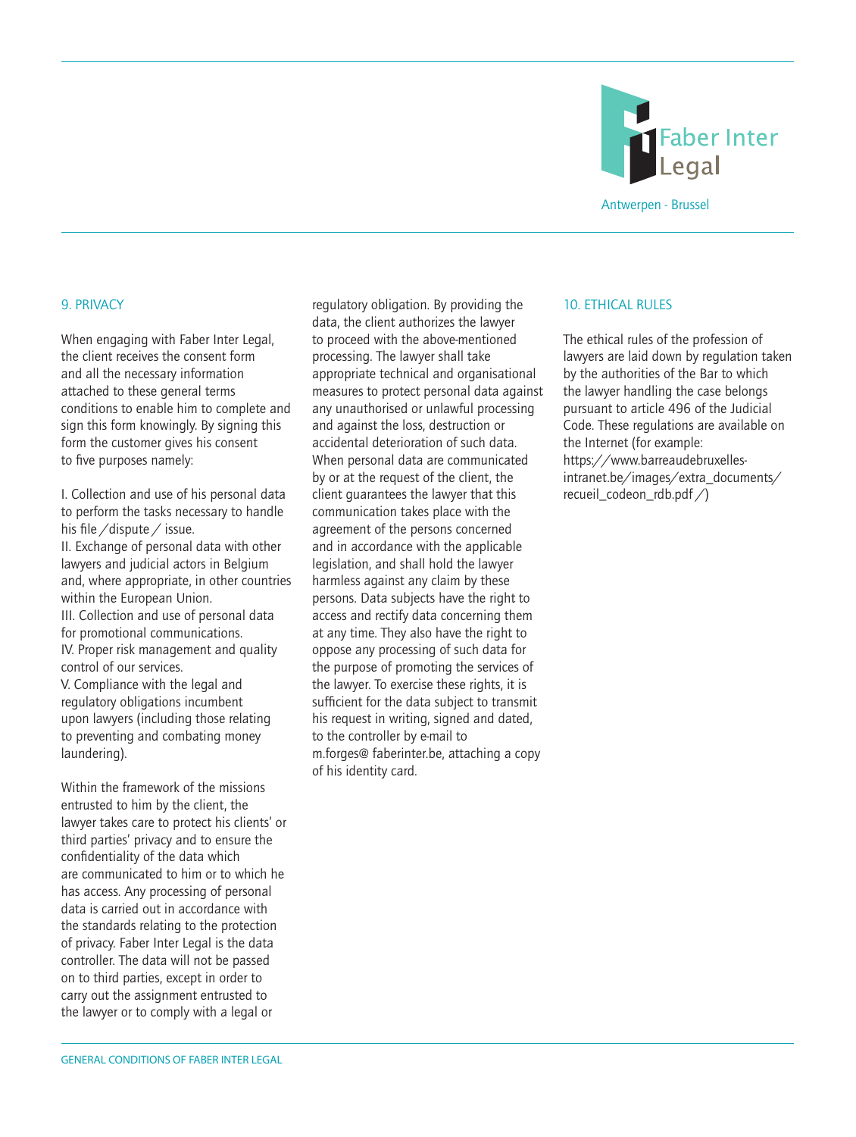

#### 9. PRIVACY

When engaging with Faber Inter Legal. the client receives the consent form and all the necessary information attached to these general terms conditions to enable him to complete and sign this form knowingly. By signing this form the customer gives his consent to five purposes namely:

I. Collection and use of his personal data to perform the tasks necessary to handle his file /dispute / issue. II. Exchange of personal data with other lawyers and judicial actors in Belgium and, where appropriate, in other countries within the European Union. III. Collection and use of personal data for promotional communications. IV. Proper risk management and quality control of our services. V. Compliance with the legal and regulatory obligations incumbent upon lawyers (including those relating to preventing and combating money laundering).

Within the framework of the missions entrusted to him by the client, the lawyer takes care to protect his clients' or third parties' privacy and to ensure the confidentiality of the data which are communicated to him or to which he has access. Any processing of personal data is carried out in accordance with the standards relating to the protection of privacy. Faber Inter Legal is the data controller. The data will not be passed on to third parties, except in order to carry out the assignment entrusted to the lawyer or to comply with a legal or

regulatory obligation. By providing the data, the client authorizes the lawyer to proceed with the above-mentioned processing. The lawyer shall take appropriate technical and organisational measures to protect personal data against any unauthorised or unlawful processing and against the loss, destruction or accidental deterioration of such data. When personal data are communicated by or at the request of the client, the client guarantees the lawyer that this communication takes place with the agreement of the persons concerned and in accordance with the applicable legislation, and shall hold the lawyer harmless against any claim by these persons. Data subjects have the right to access and rectify data concerning them at any time. They also have the right to oppose any processing of such data for the purpose of promoting the services of the lawyer. To exercise these rights, it is sufficient for the data subject to transmit his request in writing, signed and dated, to the controller by e-mail to m.forges@ faberinter.be, attaching a copy of his identity card.

#### 10. **FTHICAL RULES**

The ethical rules of the profession of lawyers are laid down by regulation taken by the authorities of the Bar to which the lawyer handling the case belongs pursuant to article 496 of the Judicial Code. These regulations are available on the Internet (for example: https://www.barreaudebruxellesintranet.be/images/extra\_documents/ recueil\_codeon\_rdb.pdf  $\triangle$